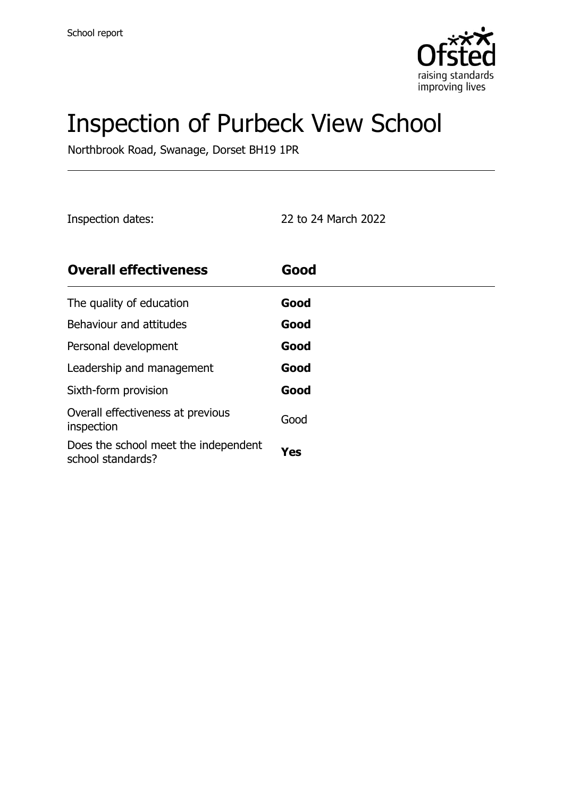

# Inspection of Purbeck View School

Northbrook Road, Swanage, Dorset BH19 1PR

Inspection dates: 22 to 24 March 2022

| <b>Overall effectiveness</b>                              | Good |
|-----------------------------------------------------------|------|
| The quality of education                                  | Good |
| Behaviour and attitudes                                   | Good |
| Personal development                                      | Good |
| Leadership and management                                 | Good |
| Sixth-form provision                                      | Good |
| Overall effectiveness at previous<br>inspection           | Good |
| Does the school meet the independent<br>school standards? | Yes  |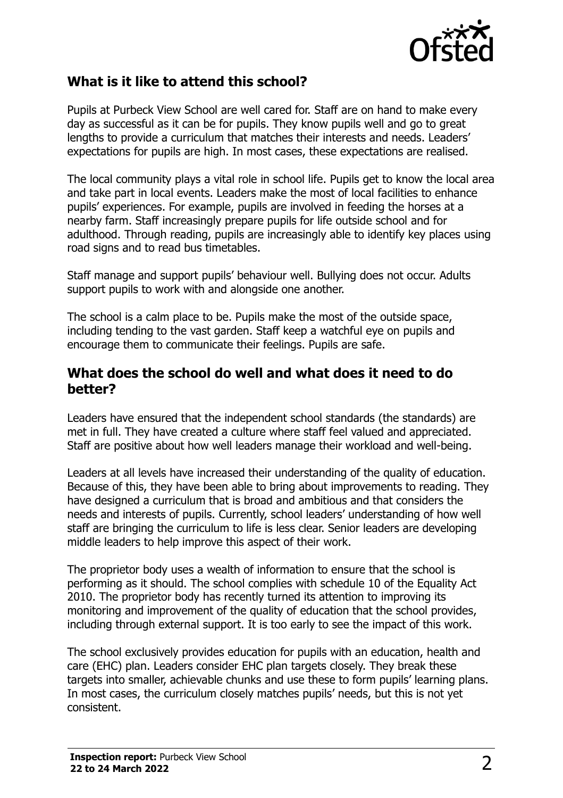

#### **What is it like to attend this school?**

Pupils at Purbeck View School are well cared for. Staff are on hand to make every day as successful as it can be for pupils. They know pupils well and go to great lengths to provide a curriculum that matches their interests and needs. Leaders' expectations for pupils are high. In most cases, these expectations are realised.

The local community plays a vital role in school life. Pupils get to know the local area and take part in local events. Leaders make the most of local facilities to enhance pupils' experiences. For example, pupils are involved in feeding the horses at a nearby farm. Staff increasingly prepare pupils for life outside school and for adulthood. Through reading, pupils are increasingly able to identify key places using road signs and to read bus timetables.

Staff manage and support pupils' behaviour well. Bullying does not occur. Adults support pupils to work with and alongside one another.

The school is a calm place to be. Pupils make the most of the outside space, including tending to the vast garden. Staff keep a watchful eye on pupils and encourage them to communicate their feelings. Pupils are safe.

#### **What does the school do well and what does it need to do better?**

Leaders have ensured that the independent school standards (the standards) are met in full. They have created a culture where staff feel valued and appreciated. Staff are positive about how well leaders manage their workload and well-being.

Leaders at all levels have increased their understanding of the quality of education. Because of this, they have been able to bring about improvements to reading. They have designed a curriculum that is broad and ambitious and that considers the needs and interests of pupils. Currently, school leaders' understanding of how well staff are bringing the curriculum to life is less clear. Senior leaders are developing middle leaders to help improve this aspect of their work.

The proprietor body uses a wealth of information to ensure that the school is performing as it should. The school complies with schedule 10 of the Equality Act 2010. The proprietor body has recently turned its attention to improving its monitoring and improvement of the quality of education that the school provides, including through external support. It is too early to see the impact of this work.

The school exclusively provides education for pupils with an education, health and care (EHC) plan. Leaders consider EHC plan targets closely. They break these targets into smaller, achievable chunks and use these to form pupils' learning plans. In most cases, the curriculum closely matches pupils' needs, but this is not yet consistent.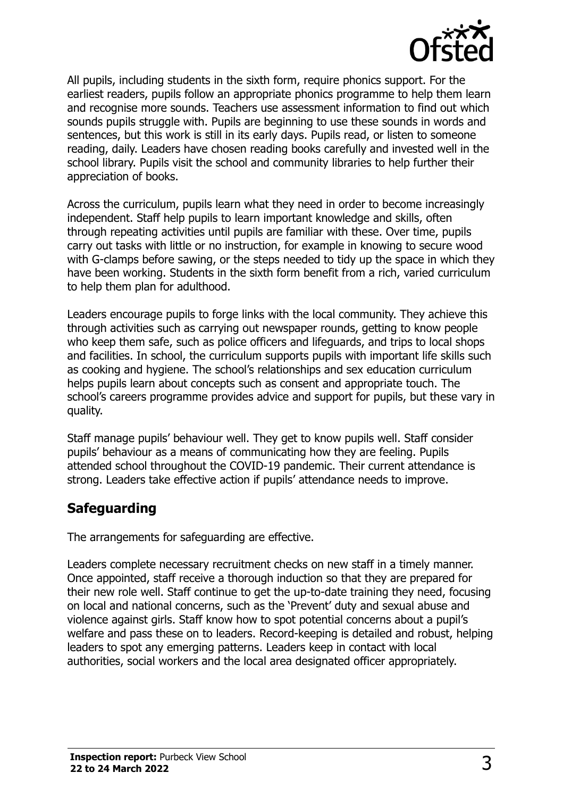

All pupils, including students in the sixth form, require phonics support. For the earliest readers, pupils follow an appropriate phonics programme to help them learn and recognise more sounds. Teachers use assessment information to find out which sounds pupils struggle with. Pupils are beginning to use these sounds in words and sentences, but this work is still in its early days. Pupils read, or listen to someone reading, daily. Leaders have chosen reading books carefully and invested well in the school library. Pupils visit the school and community libraries to help further their appreciation of books.

Across the curriculum, pupils learn what they need in order to become increasingly independent. Staff help pupils to learn important knowledge and skills, often through repeating activities until pupils are familiar with these. Over time, pupils carry out tasks with little or no instruction, for example in knowing to secure wood with G-clamps before sawing, or the steps needed to tidy up the space in which they have been working. Students in the sixth form benefit from a rich, varied curriculum to help them plan for adulthood.

Leaders encourage pupils to forge links with the local community. They achieve this through activities such as carrying out newspaper rounds, getting to know people who keep them safe, such as police officers and lifeguards, and trips to local shops and facilities. In school, the curriculum supports pupils with important life skills such as cooking and hygiene. The school's relationships and sex education curriculum helps pupils learn about concepts such as consent and appropriate touch. The school's careers programme provides advice and support for pupils, but these vary in quality.

Staff manage pupils' behaviour well. They get to know pupils well. Staff consider pupils' behaviour as a means of communicating how they are feeling. Pupils attended school throughout the COVID-19 pandemic. Their current attendance is strong. Leaders take effective action if pupils' attendance needs to improve.

## **Safeguarding**

The arrangements for safeguarding are effective.

Leaders complete necessary recruitment checks on new staff in a timely manner. Once appointed, staff receive a thorough induction so that they are prepared for their new role well. Staff continue to get the up-to-date training they need, focusing on local and national concerns, such as the 'Prevent' duty and sexual abuse and violence against girls. Staff know how to spot potential concerns about a pupil's welfare and pass these on to leaders. Record-keeping is detailed and robust, helping leaders to spot any emerging patterns. Leaders keep in contact with local authorities, social workers and the local area designated officer appropriately.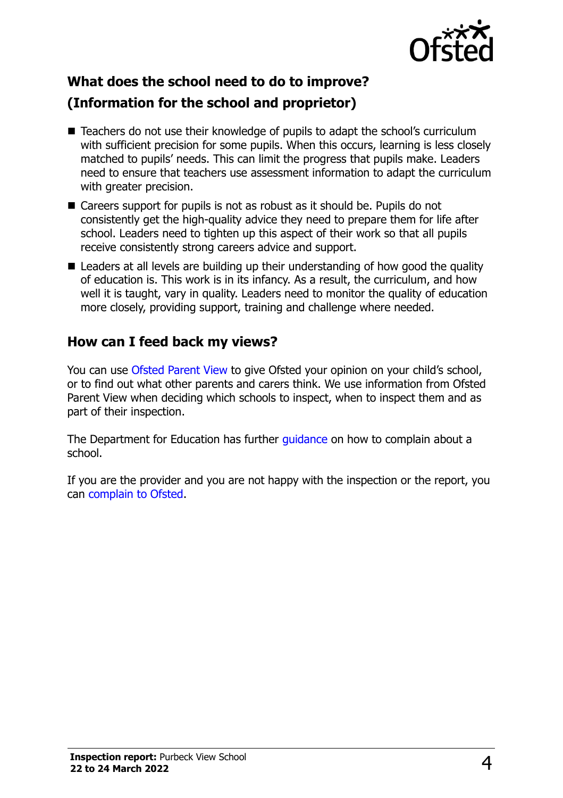

# **What does the school need to do to improve? (Information for the school and proprietor)**

- Teachers do not use their knowledge of pupils to adapt the school's curriculum with sufficient precision for some pupils. When this occurs, learning is less closely matched to pupils' needs. This can limit the progress that pupils make. Leaders need to ensure that teachers use assessment information to adapt the curriculum with greater precision.
- Careers support for pupils is not as robust as it should be. Pupils do not consistently get the high-quality advice they need to prepare them for life after school. Leaders need to tighten up this aspect of their work so that all pupils receive consistently strong careers advice and support.
- Leaders at all levels are building up their understanding of how good the quality of education is. This work is in its infancy. As a result, the curriculum, and how well it is taught, vary in quality. Leaders need to monitor the quality of education more closely, providing support, training and challenge where needed.

#### **How can I feed back my views?**

You can use [Ofsted Parent View](http://parentview.ofsted.gov.uk/) to give Ofsted your opinion on your child's school, or to find out what other parents and carers think. We use information from Ofsted Parent View when deciding which schools to inspect, when to inspect them and as part of their inspection.

The Department for Education has further quidance on how to complain about a school.

If you are the provider and you are not happy with the inspection or the report, you can [complain to Ofsted.](http://www.gov.uk/complain-ofsted-report)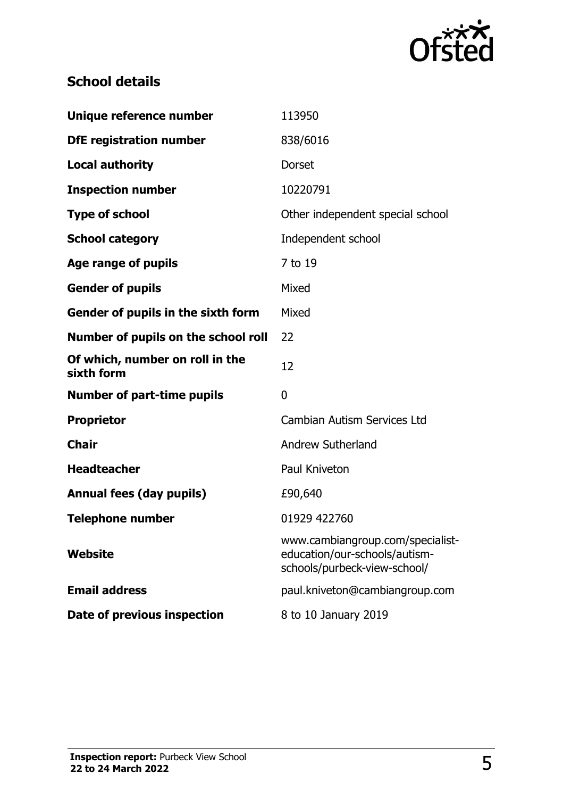

## **School details**

| Unique reference number                       | 113950                                                                                            |
|-----------------------------------------------|---------------------------------------------------------------------------------------------------|
| <b>DfE registration number</b>                | 838/6016                                                                                          |
| <b>Local authority</b>                        | <b>Dorset</b>                                                                                     |
| <b>Inspection number</b>                      | 10220791                                                                                          |
| <b>Type of school</b>                         | Other independent special school                                                                  |
| <b>School category</b>                        | Independent school                                                                                |
| Age range of pupils                           | 7 to 19                                                                                           |
| <b>Gender of pupils</b>                       | Mixed                                                                                             |
| Gender of pupils in the sixth form            | Mixed                                                                                             |
| Number of pupils on the school roll           | 22                                                                                                |
| Of which, number on roll in the<br>sixth form | 12                                                                                                |
| <b>Number of part-time pupils</b>             | 0                                                                                                 |
| <b>Proprietor</b>                             | <b>Cambian Autism Services Ltd</b>                                                                |
| <b>Chair</b>                                  | <b>Andrew Sutherland</b>                                                                          |
| <b>Headteacher</b>                            | Paul Kniveton                                                                                     |
| <b>Annual fees (day pupils)</b>               | £90,640                                                                                           |
| <b>Telephone number</b>                       | 01929 422760                                                                                      |
| <b>Website</b>                                | www.cambiangroup.com/specialist-<br>education/our-schools/autism-<br>schools/purbeck-view-school/ |
| <b>Email address</b>                          | paul.kniveton@cambiangroup.com                                                                    |
| Date of previous inspection                   | 8 to 10 January 2019                                                                              |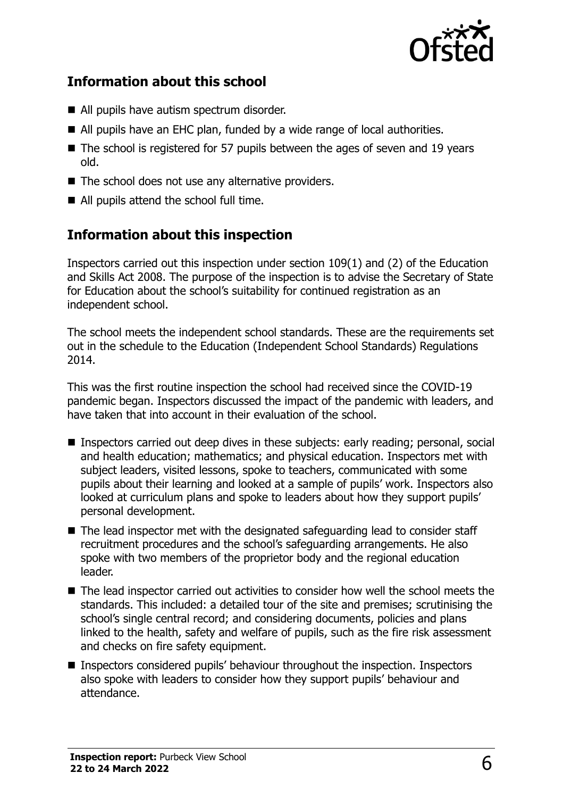

## **Information about this school**

- All pupils have autism spectrum disorder.
- All pupils have an EHC plan, funded by a wide range of local authorities.
- The school is registered for 57 pupils between the ages of seven and 19 years old.
- The school does not use any alternative providers.
- All pupils attend the school full time.

## **Information about this inspection**

Inspectors carried out this inspection under section 109(1) and (2) of the Education and Skills Act 2008. The purpose of the inspection is to advise the Secretary of State for Education about the school's suitability for continued registration as an independent school.

The school meets the independent school standards. These are the requirements set out in the schedule to the Education (Independent School Standards) Regulations 2014.

This was the first routine inspection the school had received since the COVID-19 pandemic began. Inspectors discussed the impact of the pandemic with leaders, and have taken that into account in their evaluation of the school.

- Inspectors carried out deep dives in these subjects: early reading; personal, social and health education; mathematics; and physical education. Inspectors met with subject leaders, visited lessons, spoke to teachers, communicated with some pupils about their learning and looked at a sample of pupils' work. Inspectors also looked at curriculum plans and spoke to leaders about how they support pupils' personal development.
- The lead inspector met with the designated safeguarding lead to consider staff recruitment procedures and the school's safeguarding arrangements. He also spoke with two members of the proprietor body and the regional education leader.
- The lead inspector carried out activities to consider how well the school meets the standards. This included: a detailed tour of the site and premises; scrutinising the school's single central record; and considering documents, policies and plans linked to the health, safety and welfare of pupils, such as the fire risk assessment and checks on fire safety equipment.
- Inspectors considered pupils' behaviour throughout the inspection. Inspectors also spoke with leaders to consider how they support pupils' behaviour and attendance.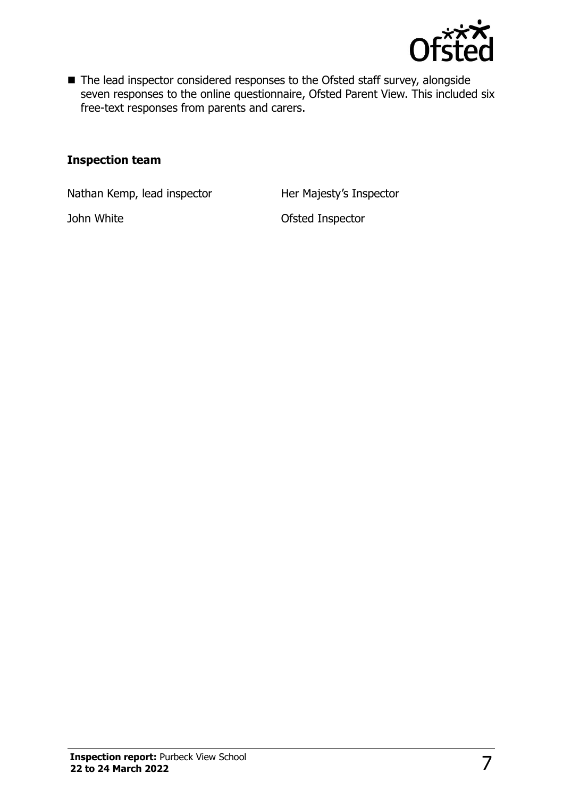

■ The lead inspector considered responses to the Ofsted staff survey, alongside seven responses to the online questionnaire, Ofsted Parent View. This included six free-text responses from parents and carers.

#### **Inspection team**

Nathan Kemp, lead inspector **Her Majesty's Inspector** 

John White **Disk and School School School School** Ofsted Inspector